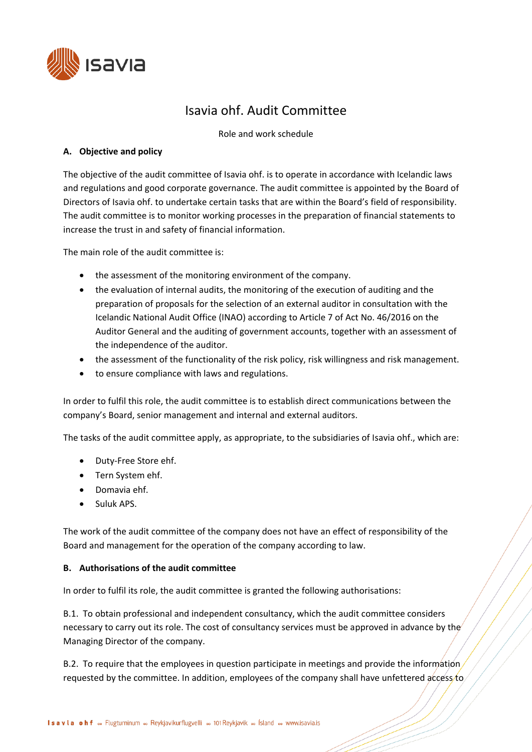

# Isavia ohf. Audit Committee

Role and work schedule

## **A. Objective and policy**

The objective of the audit committee of Isavia ohf. is to operate in accordance with Icelandic laws and regulations and good corporate governance. The audit committee is appointed by the Board of Directors of Isavia ohf. to undertake certain tasks that are within the Board's field of responsibility. The audit committee is to monitor working processes in the preparation of financial statements to increase the trust in and safety of financial information.

The main role of the audit committee is:

- the assessment of the monitoring environment of the company.
- the evaluation of internal audits, the monitoring of the execution of auditing and the preparation of proposals for the selection of an external auditor in consultation with the Icelandic National Audit Office (INAO) according to Article 7 of Act No. 46/2016 on the Auditor General and the auditing of government accounts, together with an assessment of the independence of the auditor.
- the assessment of the functionality of the risk policy, risk willingness and risk management.
- to ensure compliance with laws and regulations.

In order to fulfil this role, the audit committee is to establish direct communications between the company's Board, senior management and internal and external auditors.

The tasks of the audit committee apply, as appropriate, to the subsidiaries of Isavia ohf., which are:

- Duty-Free Store ehf.
- Tern System ehf.
- Domavia ehf.
- Suluk APS.

The work of the audit committee of the company does not have an effect of responsibility of the Board and management for the operation of the company according to law.

#### **B. Authorisations of the audit committee**

In order to fulfil its role, the audit committee is granted the following authorisations:

B.1. To obtain professional and independent consultancy, which the audit committee considers necessary to carry out its role. The cost of consultancy services must be approved in advance by the Managing Director of the company.

B.2. To require that the employees in question participate in meetings and provide the information requested by the committee. In addition, employees of the company shall have unfettered access to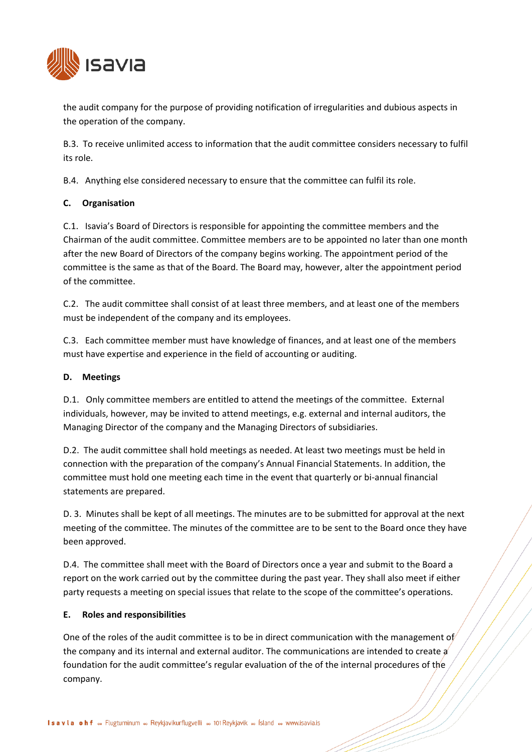

the audit company for the purpose of providing notification of irregularities and dubious aspects in the operation of the company.

B.3. To receive unlimited access to information that the audit committee considers necessary to fulfil its role.

B.4. Anything else considered necessary to ensure that the committee can fulfil its role.

# **C. Organisation**

C.1. Isavia's Board of Directors is responsible for appointing the committee members and the Chairman of the audit committee. Committee members are to be appointed no later than one month after the new Board of Directors of the company begins working. The appointment period of the committee is the same as that of the Board. The Board may, however, alter the appointment period of the committee.

C.2. The audit committee shall consist of at least three members, and at least one of the members must be independent of the company and its employees.

C.3. Each committee member must have knowledge of finances, and at least one of the members must have expertise and experience in the field of accounting or auditing.

#### **D. Meetings**

D.1. Only committee members are entitled to attend the meetings of the committee. External individuals, however, may be invited to attend meetings, e.g. external and internal auditors, the Managing Director of the company and the Managing Directors of subsidiaries.

D.2. The audit committee shall hold meetings as needed. At least two meetings must be held in connection with the preparation of the company's Annual Financial Statements. In addition, the committee must hold one meeting each time in the event that quarterly or bi-annual financial statements are prepared.

D. 3. Minutes shall be kept of all meetings. The minutes are to be submitted for approval at the next meeting of the committee. The minutes of the committee are to be sent to the Board once they have been approved.

D.4. The committee shall meet with the Board of Directors once a year and submit to the Board a report on the work carried out by the committee during the past year. They shall also meet if either party requests a meeting on special issues that relate to the scope of the committee's operations.

#### **E. Roles and responsibilities**

One of the roles of the audit committee is to be in direct communication with the management of the company and its internal and external auditor. The communications are intended to create a foundation for the audit committee's regular evaluation of the of the internal procedures of the company.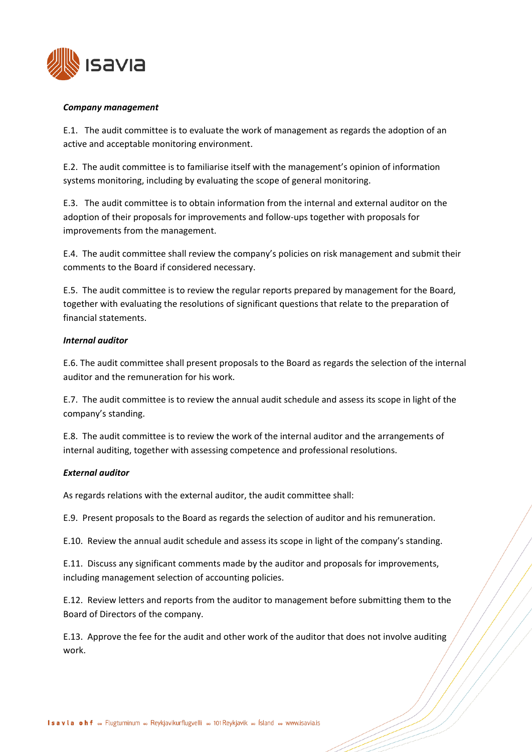

#### *Company management*

E.1. The audit committee is to evaluate the work of management as regards the adoption of an active and acceptable monitoring environment.

E.2. The audit committee is to familiarise itself with the management's opinion of information systems monitoring, including by evaluating the scope of general monitoring.

E.3. The audit committee is to obtain information from the internal and external auditor on the adoption of their proposals for improvements and follow-ups together with proposals for improvements from the management.

E.4. The audit committee shall review the company's policies on risk management and submit their comments to the Board if considered necessary.

E.5. The audit committee is to review the regular reports prepared by management for the Board, together with evaluating the resolutions of significant questions that relate to the preparation of financial statements.

#### *Internal auditor*

E.6. The audit committee shall present proposals to the Board as regards the selection of the internal auditor and the remuneration for his work.

E.7. The audit committee is to review the annual audit schedule and assess its scope in light of the company's standing.

E.8. The audit committee is to review the work of the internal auditor and the arrangements of internal auditing, together with assessing competence and professional resolutions.

#### *External auditor*

As regards relations with the external auditor, the audit committee shall:

E.9. Present proposals to the Board as regards the selection of auditor and his remuneration.

E.10. Review the annual audit schedule and assess its scope in light of the company's standing.

E.11. Discuss any significant comments made by the auditor and proposals for improvements, including management selection of accounting policies.

E.12. Review letters and reports from the auditor to management before submitting them to the Board of Directors of the company.

E.13. Approve the fee for the audit and other work of the auditor that does not involve auditing work.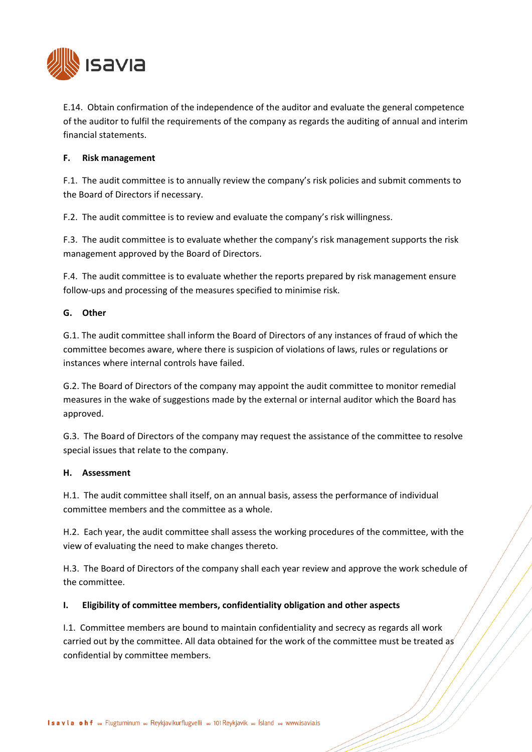

E.14. Obtain confirmation of the independence of the auditor and evaluate the general competence of the auditor to fulfil the requirements of the company as regards the auditing of annual and interim financial statements.

## **F. Risk management**

F.1. The audit committee is to annually review the company's risk policies and submit comments to the Board of Directors if necessary.

F.2. The audit committee is to review and evaluate the company's risk willingness.

F.3. The audit committee is to evaluate whether the company's risk management supports the risk management approved by the Board of Directors.

F.4. The audit committee is to evaluate whether the reports prepared by risk management ensure follow-ups and processing of the measures specified to minimise risk.

## **G. Other**

G.1. The audit committee shall inform the Board of Directors of any instances of fraud of which the committee becomes aware, where there is suspicion of violations of laws, rules or regulations or instances where internal controls have failed.

G.2. The Board of Directors of the company may appoint the audit committee to monitor remedial measures in the wake of suggestions made by the external or internal auditor which the Board has approved.

G.3. The Board of Directors of the company may request the assistance of the committee to resolve special issues that relate to the company.

#### **H. Assessment**

H.1. The audit committee shall itself, on an annual basis, assess the performance of individual committee members and the committee as a whole.

H.2. Each year, the audit committee shall assess the working procedures of the committee, with the view of evaluating the need to make changes thereto.

H.3. The Board of Directors of the company shall each year review and approve the work schedule of the committee.

#### **I. Eligibility of committee members, confidentiality obligation and other aspects**

I.1. Committee members are bound to maintain confidentiality and secrecy as regards all work carried out by the committee. All data obtained for the work of the committee must be treated as confidential by committee members.